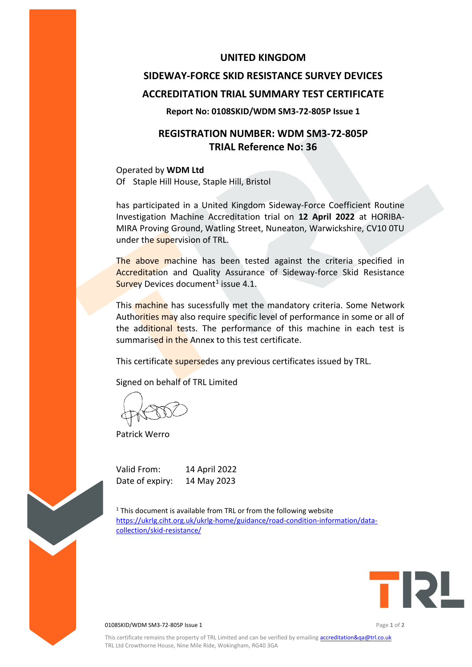### **UNITED KINGDOM**

# **SIDEWAY-FORCE SKID RESISTANCE SURVEY DEVICES ACCREDITATION TRIAL SUMMARY TEST CERTIFICATE**

#### **Report No: 0108SKID/WDM SM3-72-805P Issue 1**

## **REGISTRATION NUMBER: WDM SM3-72-805P TRIAL Reference No: 36**

Operated by **WDM Ltd** Of Staple Hill House, Staple Hill, Bristol

has participated in a United Kingdom Sideway-Force Coefficient Routine Investigation Machine Accreditation trial on **12 April 2022** at HORIBA-MIRA Proving Ground, Watling Street, Nuneaton, Warwickshire, CV10 0TU under the supervision of TRL.

The above machine has been tested against the criteria specified in Accreditation and Quality Assurance of Sideway-force Skid Resistance Survey Devices document<sup>1</sup> issue 4.1.

This machine has sucessfully met the mandatory criteria. Some Network Authorities may also require specific level of performance in some or all of the additional tests. The performance of this machine in each test is summarised in the Annex to this test certificate.

This certificate supersedes any previous certificates issued by TRL.

Signed on behalf of TRL Limited

Patrick Werro

Valid From: 14 April 2022 Date of expiry: 14 May 2023

 $1$ <sup>1</sup> This document is available from TRL or from the following website [https://ukrlg.ciht.org.uk/ukrlg-home/guidance/road-condition-information/data](https://ukrlg.ciht.org.uk/ukrlg-home/guidance/road-condition-information/data-collection/skid-resistance/)[collection/skid-resistance/](https://ukrlg.ciht.org.uk/ukrlg-home/guidance/road-condition-information/data-collection/skid-resistance/)



0108SKID/WDM SM3-72-805P Issue 1 Page **1** of **2**